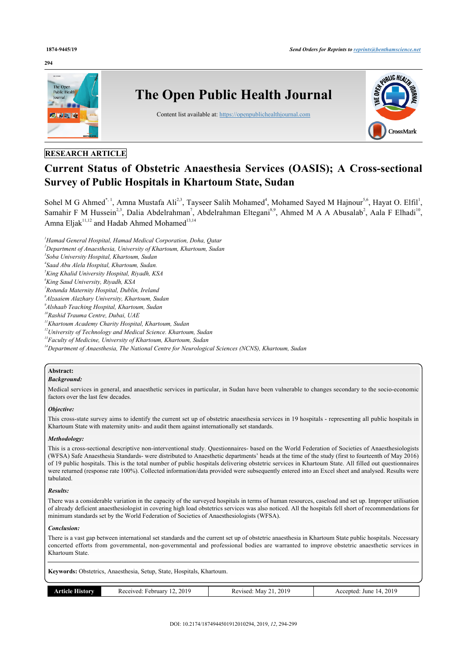# **294**



# **RESEARCH ARTICLE**

# **Current Status of Obstetric Anaesthesia Services (OASIS); A Cross-sectional Survey of Public Hospitals in Khartoum State, Sudan**

Sohel M G Ahmed<sup>[\\*](#page--1-0), [1](#page--1-0)</sup>, Amna Mustafa Ali<sup>[2](#page--1-0),[3](#page--1-0)</sup>, Tayseer Salih Mohamed<sup>[4](#page--1-0)</sup>, Mohamed Sayed M Hajnour<sup>[5,6](#page--1-0)</sup>, Hayat O. Elfil<sup>[1](#page--1-0)</sup>, Samahir F M Hussein<sup>[2](#page--1-0),[3](#page--1-0)</sup>, Dalia Abdelrahman<sup>[7](#page--1-0)</sup>, Abdelrahman Eltegani<sup>[8](#page--1-0),[9](#page--1-0)</sup>, Ahmed M A A Abusalab<sup>2</sup>, Aala F Elhadi<sup>[10](#page--1-0)</sup>, Amna Eljak<sup>[11](#page--1-0),[12](#page--1-0)</sup> and Hadab Ahmed Mohamed<sup>[13](#page--1-0),[14](#page--1-0)</sup>

*<sup>2</sup>Department of Anaesthesia, University of Khartoum, Khartoum, Sudan*

*3 Soba University Hospital, Khartoum, Sudan*

*4 Saad Abu Alela Hospital, Khartoum, Sudan.*

*<sup>5</sup>King Khalid University Hospital, Riyadh, KSA*

- *<sup>6</sup>King Saud University, Riyadh, KSA*
- *7 Rotunda Maternity Hospital, Dublin, Ireland*
- *8 Alzaaiem Alazhary University, Khartoum, Sudan*
- *9 Alshaab Teaching Hospital, Khartoum, Sudan*
- *<sup>10</sup>Rashid Trauma Centre, Dubai, UAE*
- *<sup>11</sup>Khartoum Academy Charity Hospital, Khartoum, Sudan*
- *<sup>12</sup>University of Technology and Medical Science. Khartoum, Sudan*
- *<sup>13</sup>Faculty of Medicine, University of Khartoum, Khartoum, Sudan*
- *<sup>14</sup>Department of Anaesthesia, The National Centre for Neurological Sciences (NCNS), Khartoum, Sudan*

# **Abstract:**

*Background:*

Medical services in general, and anaesthetic services in particular, in Sudan have been vulnerable to changes secondary to the socio-economic factors over the last few decades.

#### *Objective:*

This cross-state survey aims to identify the current set up of obstetric anaesthesia services in 19 hospitals - representing all public hospitals in Khartoum State with maternity units- and audit them against internationally set standards.

#### *Methodology:*

This is a cross-sectional descriptive non-interventional study. Questionnaires- based on the World Federation of Societies of Anaesthesiologists (WFSA) Safe Anaesthesia Standards- were distributed to Anaesthetic departments' heads at the time of the study (first to fourteenth of May 2016) of 19 public hospitals. This is the total number of public hospitals delivering obstetric services in Khartoum State. All filled out questionnaires were returned (response rate 100%). Collected information/data provided were subsequently entered into an Excel sheet and analysed. Results were tabulated.

#### *Results:*

There was a considerable variation in the capacity of the surveyed hospitals in terms of human resources, caseload and set up. Improper utilisation of already deficient anaesthesiologist in covering high load obstetrics services was also noticed. All the hospitals fell short of recommendations for minimum standards set by the World Federation of Societies of Anaesthesiologists (WFSA).

#### *Conclusion:*

There is a vast gap between international set standards and the current set up of obstetric anaesthesia in Khartoum State public hospitals. Necessary concerted efforts from governmental, non-governmental and professional bodies are warranted to improve obstetric anaesthetic services in Khartoum State.

**Keywords:** Obstetrics, Anaesthesia, Setup, State, Hospitals, Khartoum.

|  | $\mathbf{m}$<br>Article | 2019<br>Keceive <sup>a</sup><br>ebruary | 2019<br>Mav<br>vised<br>Ke <sup>r</sup> | 2019<br>June<br>14<br>vccepted:<br>AC. |
|--|-------------------------|-----------------------------------------|-----------------------------------------|----------------------------------------|
|--|-------------------------|-----------------------------------------|-----------------------------------------|----------------------------------------|

*<sup>1</sup>Hamad General Hospital, Hamad Medical Corporation, Doha, Qatar*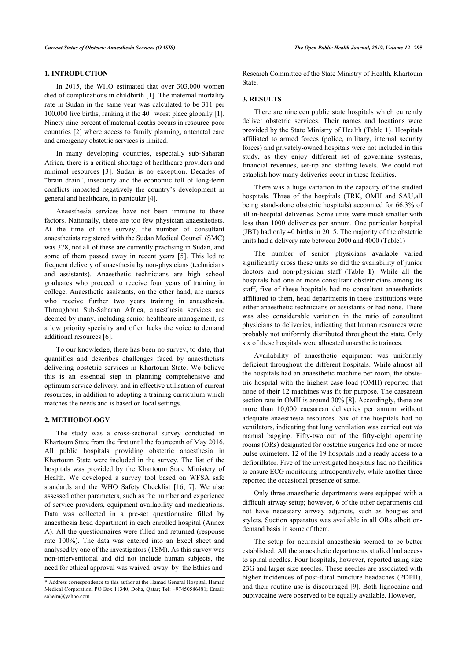# **1. INTRODUCTION**

In 2015, the WHO estimated that over 303,000 women died of complications in childbirth [\[1\]](#page--1-0). The maternal mortality rate in Sudan in the same year was calculated to be 311 per 100,000 live births, ranking it the  $40<sup>th</sup>$  worst place globally [\[1](#page--1-0)]. Ninety-nine percent of maternal deaths occurs in resource-poor countries [[2](#page--1-0)] where access to family planning, antenatal care and emergency obstetric services is limited.

In many developing countries, especially sub-Saharan Africa, there is a critical shortage of healthcare providers and minimal resources [\[3\]](#page--1-0). Sudan is no exception. Decades of "brain drain", insecurity and the economic toll of long-term conflicts impacted negatively the country's development in general and healthcare, in particular [\[4\]](#page--1-0).

Anaesthesia services have not been immune to these factors. Nationally, there are too few physician anaesthetists. At the time of this survey, the number of consultant anaesthetists registered with the Sudan Medical Council (SMC) was 378, not all of these are currently practising in Sudan, and some of them passed away in recent years[[5](#page--1-0)]. This led to frequent delivery of anaesthesia by non-physicians (technicians and assistants). Anaesthetic technicians are high school graduates who proceed to receive four years of training in college. Anaesthetic assistants, on the other hand, are nurses who receive further two years training in anaesthesia. Throughout Sub-Saharan Africa, anaesthesia services are deemed by many, including senior healthcare management, as a low priority specialty and often lacks the voice to demand additional resources [\[6\]](#page--1-0).

To our knowledge, there has been no survey, to date, that quantifies and describes challenges faced by anaesthetists delivering obstetric services in Khartoum State. We believe this is an essential step in planning comprehensive and optimum service delivery, and in effective utilisation of current resources, in addition to adopting a training curriculum which matches the needs and is based on local settings.

# **2. METHODOLOGY**

The study was a cross-sectional survey conducted in Khartoum State from the first until the fourteenth of May 2016. All public hospitals providing obstetric anaesthesia in Khartoum State were included in the survey. The list of the hospitals was provided by the Khartoum State Ministery of Health. We developed a survey tool based on WFSA safe standards and the WHO Safety Checklist[[16, 7\]](#page--1-0). We also assessed other parameters, such as the number and experience of service providers, equipment availability and medications. Data was collected in a pre-set questionnaire filled by anaesthesia head department in each enrolled hospital (Annex A). All the questionnaires were filled and returned (response rate 100%). The data was entered into an Excel sheet and analysed by one of the investigators (TSM). As this survey was non-interventional and did not include human subjects, the need for ethical approval was waived away by the Ethics and

Research Committee of the State Ministry of Health, Khartoum State.

### **3. RESULTS**

There are nineteen public state hospitals which currently deliver obstetric services. Their names and locations were provided by the State Ministry of Health (Table **[1](#page--1-0)**). Hospitals affiliated to armed forces (police, military, internal security forces) and privately-owned hospitals were not included in this study, as they enjoy different set of governing systems, financial revenues, set-up and staffing levels. We could not establish how many deliveries occur in these facilities.

There was a huge variation in the capacity of the studied hospitals. Three of the hospitals (TRK, OMH and SAU,all being stand-alone obstetric hospitals) accounted for 66.3% of all in-hospital deliveries. Some units were much smaller with less than 1000 deliveries per annum. One particular hospital (JBT) had only 40 births in 2015. The majority of the obstetric units had a delivery rate between 2000 and 4000 ([Table1\)](#page--1-0)

The number of senior physicians available varied significantly cross these units so did the availability of junior doctors and non-physician staff (Table**1**). While all the hospitals had one or more consultant obstetricians among its staff, five of these hospitals had no consultant anaesthetists affiliated to them, head departments in these institutions were either anaesthetic technicians or assistants or had none. There was also considerable variation in the ratio of consultant physicians to deliveries, indicating that human resources were probably not uniformly distributed throughout the state. Only six of these hospitals were allocated anaesthetic trainees.

Availability of anaesthetic equipment was uniformly deficient throughout the different hospitals. While almost all the hospitals had an anaesthetic machine per room, the obstetric hospital with the highest case load (OMH) reported that none of their 12 machines was fit for purpose. The caesarean section rate in OMH is around 30% [\[8](#page--1-0)]. Accordingly, there are more than 10,000 caesarean deliveries per annum without adequate anaesthesia resources. Six of the hospitals had no ventilators, indicating that lung ventilation was carried out *via* manual bagging. Fifty-two out of the fifty-eight operating rooms (ORs) designated for obstetric surgeries had one or more pulse oximeters. 12 of the 19 hospitals had a ready access to a defibrillator. Five of the investigated hospitals had no facilities to ensure ECG monitoring intraoperatively, while another three reported the occasional presence of same.

Only three anaesthetic departments were equipped with a difficult airway setup; however, 6 of the other departments did not have necessary airway adjuncts, such as bougies and stylets. Suction apparatus was available in all ORs albeit ondemand basis in some of them.

The setup for neuraxial anaesthesia seemed to be better established. All the anaesthetic departments studied had access to spinal needles. Four hospitals, however, reported using size 23G and larger size needles. These needles are associated with higher incidences of post-dural puncture headaches (PDPH), and their routine use is discouraged [[9](#page--1-0)]. Both lignocaine and bupivacaine were observed to be equally available. However,

<sup>\*</sup> Address correspondence to this author at the Hamad General Hospital, Hamad Medical Corporation, PO Box 11340, Doha, Qatar; Tel: +97450586481; Email: [sohelm@yahoo.com](mailto:sohelm@yahoo.com)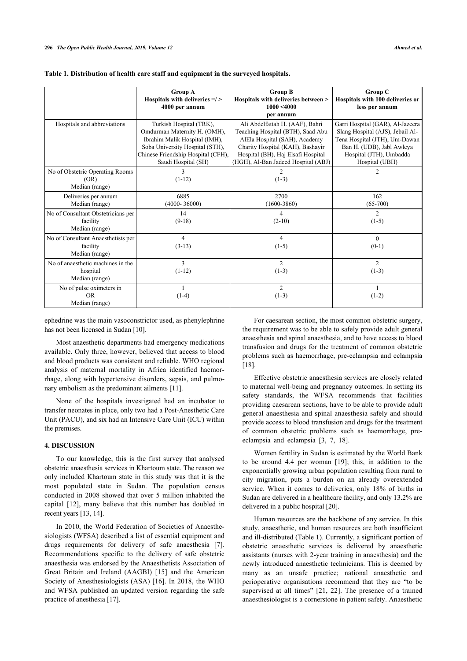|                                                                  | <b>Group A</b><br>Hospitals with deliveries $=$ /><br>4000 per annum                                                                                                                     | <b>Group B</b><br>Hospitals with deliveries between ><br>1000 < 4000<br>per annum                                                                                                                                      | Group C<br>Hospitals with 100 deliveries or<br>less per annum                                                                                                                   |
|------------------------------------------------------------------|------------------------------------------------------------------------------------------------------------------------------------------------------------------------------------------|------------------------------------------------------------------------------------------------------------------------------------------------------------------------------------------------------------------------|---------------------------------------------------------------------------------------------------------------------------------------------------------------------------------|
| Hospitals and abbreviations                                      | Turkish Hospital (TRK),<br>Omdurman Maternity H. (OMH),<br>Ibrahim Malik Hospital (IMH),<br>Soba University Hospital (STH),<br>Chinese Friendship Hospital (CFH),<br>Saudi Hospital (SH) | Ali Abdelfattah H. (AAF), Bahri<br>Teaching Hospital (BTH), Saad Abu<br>AlEla Hospital (SAH), Academy<br>Charity Hospital (KAH), Bashayir<br>Hospital (BH), Haj Elsafi Hospital<br>(HGH), Al-Ban Jadeed Hospital (ABJ) | Garri Hospital (GAR), Al-Jazeera<br>Slang Hospital (AJS), Jebail Al-<br>Tena Hospital (JTH), Um-Dawan<br>Ban H. (UDB), Jabl Awleya<br>Hospital (JTH), Umbadda<br>Hospital (UBH) |
| No of Obstetric Operating Rooms<br>(OR)<br>Median (range)        | $\mathcal{E}$<br>$(1-12)$                                                                                                                                                                | $\mathfrak{D}$<br>$(1-3)$                                                                                                                                                                                              | $\mathfrak{D}$                                                                                                                                                                  |
| Deliveries per annum<br>Median (range)                           | 6885<br>$(4000 - 36000)$                                                                                                                                                                 | 2700<br>$(1600 - 3860)$                                                                                                                                                                                                | 162<br>$(65-700)$                                                                                                                                                               |
| No of Consultant Obstetricians per<br>facility<br>Median (range) | 14<br>$(9-18)$                                                                                                                                                                           | 4<br>$(2-10)$                                                                                                                                                                                                          | $\overline{2}$<br>$(1-5)$                                                                                                                                                       |
| No of Consultant Anaesthetists per<br>facility<br>Median (range) | $\overline{4}$<br>$(3-13)$                                                                                                                                                               | $\overline{4}$<br>$(1-5)$                                                                                                                                                                                              | $\theta$<br>$(0-1)$                                                                                                                                                             |
| No of anaesthetic machines in the<br>hospital<br>Median (range)  | 3<br>$(1-12)$                                                                                                                                                                            | $\overline{c}$<br>$(1-3)$                                                                                                                                                                                              | $\overline{c}$<br>$(1-3)$                                                                                                                                                       |
| No of pulse oximeters in<br><b>OR</b><br>Median (range)          | $(1-4)$                                                                                                                                                                                  | $\overline{2}$<br>$(1-3)$                                                                                                                                                                                              | $\mathbf{1}$<br>$(1-2)$                                                                                                                                                         |

| Table 1. Distribution of health care staff and equipment in the surveyed hospitals. |  |  |
|-------------------------------------------------------------------------------------|--|--|
|-------------------------------------------------------------------------------------|--|--|

ephedrine was the main vasoconstrictor used, as phenylephrine has not been licensed in Sudan [[10\]](#page--1-0).

Most anaesthetic departments had emergency medications available. Only three, however, believed that access to blood and blood products was consistent and reliable. WHO regional analysis of maternal mortality in Africa identified haemorrhage, along with hypertensive disorders, sepsis, and pulmonary embolism as the predominant ailments [\[11](#page--1-0)].

None of the hospitals investigated had an incubator to transfer neonates in place, only two had a Post-Anesthetic Care Unit (PACU), and six had an Intensive Care Unit (ICU) within the premises.

# **4. DISCUSSION**

To our knowledge, this is the first survey that analysed obstetric anaesthesia services in Khartoum state. The reason we only included Khartoum state in this study was that it is the most populated state in Sudan. The population census conducted in 2008 showed that over 5 million inhabited the capital [\[12\]](#page--1-0), many believe that this number has doubled in recent years [\[13](#page--1-0), [14\]](#page--1-0).

In 2010, the World Federation of Societies of Anaesthesiologists (WFSA) described a list of essential equipment and drugs requirements for delivery of safe anaesthesia [\[7\]](#page--1-0). Recommendations specific to the delivery of safe obstetric anaesthesia was endorsed by the Anaesthetists Association of Great Britain and Ireland (AAGBI)[[15](#page--1-0)] and the American Society of Anesthesiologists (ASA) [[16\]](#page--1-0). In 2018, the WHO and WFSA published an updated version regarding the safe practice of anesthesia [\[17](#page--1-0)].

For caesarean section, the most common obstetric surgery, the requirement was to be able to safely provide adult general anaesthesia and spinal anaesthesia, and to have access to blood transfusion and drugs for the treatment of common obstetric problems such as haemorrhage, pre-eclampsia and eclampsia [[18\]](#page--1-0).

Effective obstetric anaesthesia services are closely related to maternal well-being and pregnancy outcomes. In setting its safety standards, the WFSA recommends that facilities providing caesarean sections, have to be able to provide adult general anaesthesia and spinal anaesthesia safely and should provide access to blood transfusion and drugs for the treatment of common obstetric problems such as haemorrhage, preeclampsia and eclampsia[[3](#page--1-0), [7](#page--1-0), [18\]](#page--1-0).

Women fertility in Sudan is estimated by the World Bank to be around 4.4 per woman [\[19](#page--1-0)]; this, in addition to the exponentially growing urban population resulting from rural to city migration, puts a burden on an already overextended service. When it comes to deliveries, only 18% of births in Sudan are delivered in a healthcare facility, and only 13.2% are delivered in a public hospital [[20\]](#page--1-0).

Human resources are the backbone of any service. In this study, anaesthetic, and human resources are both insufficient and ill-distributed (Table **[1](#page--1-0)**). Currently, a significant portion of obstetric anaesthetic services is delivered by anaesthetic assistants (nurses with 2-year training in anaesthesia) and the newly introduced anaesthetic technicians. This is deemed by many as an unsafe practice; national anaesthetic and perioperative organisations recommend that they are "to be supervised at all times" [\[21, 22\]](#page--1-0). The presence of a trained anaesthesiologist is a cornerstone in patient safety. Anaesthetic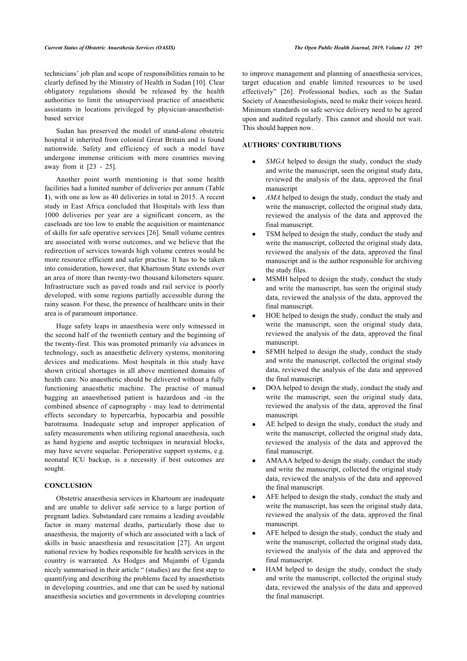technicians' job plan and scope of responsibilities remain to be clearly defined by the Ministry of Health in Sudan [\[10\]](#page--1-0). Clear obligatory regulations should be released by the health authorities to limit the unsupervised practice of anaesthetic assistants in locations privileged by physician-anaesthetistbased service

Sudan has preserved the model of stand-alone obstetric hospital it inherited from colonial Great Britain and is found nationwide. Safety and efficiency of such a model have undergone immense criticism with more countries moving away from it[[23](#page--1-0) - [25](#page--1-0)].

Another point worth mentioning is that some health facilities had a limited number of deliveries per annum (Table **[1](#page--1-0)**), with one as low as 40 deliveries in total in 2015. A recent study in East Africa concluded that Hospitals with less than 1000 deliveries per year are a significant concern, as the caseloads are too low to enable the acquisition or maintenance of skills for safe operative services [\[26](#page--1-0)]. Small volume centres are associated with worse outcomes, and we believe that the redirection of services towards high volume centres would be more resource efficient and safer practise. It has to be taken into consideration, however, that Khartoum State extends over an area of more than twenty-two thousand kilometers square. Infrastructure such as paved roads and rail service is poorly developed, with some regions partially accessible during the rainy season. For these, the presence of healthcare units in their area is of paramount importance.

Huge safety leaps in anaesthesia were only witnessed in the second half of the twentieth century and the beginning of the twenty-first. This was promoted primarily *via* advances in technology, such as anaesthetic delivery systems, monitoring devices and medications. Most hospitals in this study have shown critical shortages in all above mentioned domains of health care. No anaesthetic should be delivered without a fully functioning anaesthetic machine. The practise of manual bagging an anaesthetised patient is hazardous and -in the combined absence of capnography - may lead to detrimental effects secondary to hypercarbia, hypocarbia and possible barotrauma. Inadequate setup and improper application of safety measurements when utilizing regional anaesthesia, such as hand hygiene and aseptic techniques in neuraxial blocks, may have severe sequelae. Perioperative support systems, e.g. neonatal ICU backup, is a necessity if best outcomes are sought.

# **CONCLUSION**

Obstetric anaesthesia services in Khartoum are inadequate and are unable to deliver safe service to a large portion of pregnant ladies. Substandard care remains a leading avoidable factor in many maternal deaths, particularly those due to anaesthesia, the majority of which are associated with a lack of skills in basic anaesthesia and resuscitation[[27\]](#page--1-0). An urgent national review by bodies responsible for health services in the country is warranted. As Hodges and Mujambi of Uganda nicely summarised in their article " (studies) are the first step to quantifying and describing the problems faced by anaesthetists in developing countries, and one that can be used by national anaesthesia societies and governments in developing countries

to improve management and planning of anaesthesia services, target education and enable limited resources to be used effectively"[[26](#page--1-0)]. Professional bodies, such as the Sudan Society of Anaesthesiologists, need to make their voices heard. Minimum standards on safe service delivery need to be agreed upon and audited regularly. This cannot and should not wait. This should happen now.

# **AUTHORS' CONTRIBUTIONS**

- *SMGA* helped to design the study, conduct the study and write the manuscript, seen the original study data, reviewed the analysis of the data, approved the final manuscript
- *AMA* helped to design the study, conduct the study and write the manuscript, collected the original study data, reviewed the analysis of the data and approved the final manuscript.
- TSM helped to design the study, conduct the study and  $\bullet$ write the manuscript, collected the original study data, reviewed the analysis of the data, approved the final manuscript and is the author responsible for archiving the study files.
- MSMH helped to design the study, conduct the study and write the manuscript, has seen the original study data, reviewed the analysis of the data, approved the final manuscript.
- HOE helped to design the study, conduct the study and write the manuscript, seen the original study data, reviewed the analysis of the data, approved the final manuscript.
- SFMH helped to design the study, conduct the study and write the manuscript, collected the original study data, reviewed the analysis of the data and approved the final manuscript.
- DOA helped to design the study, conduct the study and  $\bullet$ write the manuscript, seen the original study data, reviewed the analysis of the data, approved the final manuscript.
- AE helped to design the study, conduct the study and write the manuscript, collected the original study data, reviewed the analysis of the data and approved the final manuscript.
- AMAAA helped to design the study, conduct the study and write the manuscript, collected the original study data, reviewed the analysis of the data and approved the final manuscript.
- AFE helped to design the study, conduct the study and  $\bullet$ write the manuscript, has seen the original study data, reviewed the analysis of the data, approved the final manuscript.
- AFE helped to design the study, conduct the study and write the manuscript, collected the original study data, reviewed the analysis of the data and approved the final manuscript.
- HAM helped to design the study, conduct the study and write the manuscript, collected the original study data, reviewed the analysis of the data and approved the final manuscript.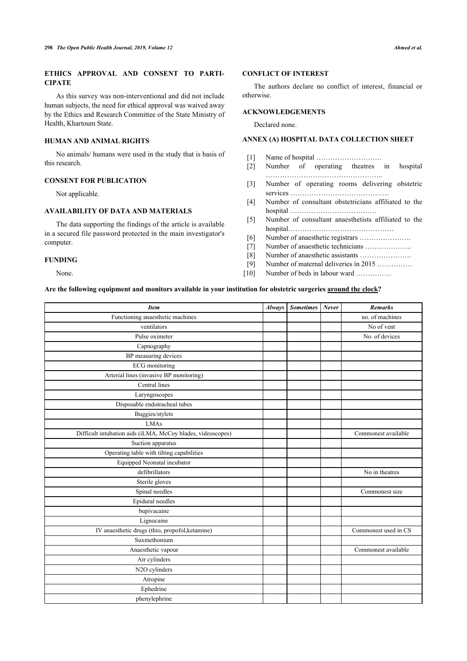# **ETHICS APPROVAL AND CONSENT TO PARTI-CIPATE**

As this survey was non-interventional and did not include human subjects, the need for ethical approval was waived away by the Ethics and Research Committee of the State Ministry of Health, Khartoum State.

# **HUMAN AND ANIMAL RIGHTS**

No animals/ humans were used in the study that is basis of this research.

### **CONSENT FOR PUBLICATION**

Not applicable.

# **AVAILABILITY OF DATA AND MATERIALS**

The data supporting the findings of the article is available in a secured file password protected in the main investigator's computer.

#### **FUNDING**

None.

# **CONFLICT OF INTEREST**

The authors declare no conflict of interest, financial or otherwise.

# **ACKNOWLEDGEMENTS**

Declared none.

# **ANNEX (A) HOSPITAL DATA COLLECTION SHEET**

- [1] Name of hospital ……………………….
- [2] Number of operating theatres in hospital …………………………………………..
- [3] Number of operating rooms delivering obstetric services ……………………………………
- [4] Number of consultant obstetricians affiliated to the hospital ……………………………….
- [5] Number of consultant anaesthetists affiliated to the hospital………………………………………
- [6] Number of anaesthetic registrars ………………….
- [7] Number of anaesthetic technicians …………………..
- [8] Number of anaesthetic assistants ………………….
- [9] Number of maternal deliveries in 2015 ……………
- [10] Number of beds in labour ward ……………

# **Are the following equipment and monitors available in your institution for obstetric surgeries around the clock?**

| <b>Item</b>                                                 | <b>Always</b> | <b>Sometimes</b> | Never | <b>Remarks</b>       |
|-------------------------------------------------------------|---------------|------------------|-------|----------------------|
| Functioning anaesthetic machines                            |               |                  |       | no. of machines      |
| ventilators                                                 |               |                  |       | No of vent           |
| Pulse oximeter                                              |               |                  |       | No. of devices       |
| Capnography                                                 |               |                  |       |                      |
| BP measuring devices                                        |               |                  |       |                      |
| <b>ECG</b> monitoring                                       |               |                  |       |                      |
| Arterial lines (invasive BP monitoring)                     |               |                  |       |                      |
| Central lines                                               |               |                  |       |                      |
| Laryngoscopes                                               |               |                  |       |                      |
| Disposable endotracheal tubes                               |               |                  |       |                      |
| Buggies/stylets                                             |               |                  |       |                      |
| <b>LMAs</b>                                                 |               |                  |       |                      |
| Difficult intubation aids (iLMA, McCoy blades, videoscopes) |               |                  |       | Commonest available  |
| Suction apparatus                                           |               |                  |       |                      |
| Operating table with tilting capabilities                   |               |                  |       |                      |
| Equipped Neonatal incubator                                 |               |                  |       |                      |
| defibrillators                                              |               |                  |       | No in theatres       |
| Sterile gloves                                              |               |                  |       |                      |
| Spinal needles                                              |               |                  |       | Commonest size       |
| Epidural needles                                            |               |                  |       |                      |
| bupivacaine                                                 |               |                  |       |                      |
| Lignocaine                                                  |               |                  |       |                      |
| IV anaesthetic drugs (thio, propofol, ketamine)             |               |                  |       | Commonest used in CS |
| Suxmethonium                                                |               |                  |       |                      |
| Anaesthetic vapour                                          |               |                  |       | Commonest available  |
| Air cylinders                                               |               |                  |       |                      |
| N2O cylinders                                               |               |                  |       |                      |
| Atropine                                                    |               |                  |       |                      |
| Ephedrine                                                   |               |                  |       |                      |
| phenylephrine                                               |               |                  |       |                      |